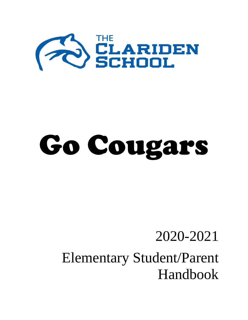

# Go Cougars

## 2020-2021 Elementary Student/Parent Handbook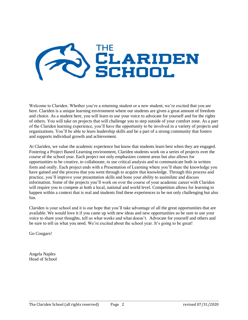

Welcome to Clariden. Whether you're a returning student or a new student, we're excited that you are here. Clariden is a unique learning environment where our students are given a great amount of freedom and choice. As a student here, you will learn to use your voice to advocate for yourself and for the rights of others. You will take on projects that will challenge you to step outside of your comfort zone. As a part of the Clariden learning experience, you'll have the opportunity to be involved in a variety of projects and organizations. You'll be able to learn leadership skills and be a part of a strong community that fosters and supports individual growth and achievement.

At Clariden, we value the academic experience but know that students learn best when they are engaged. Fostering a Project Based Learning environment, Clariden students work on a series of projects over the course of the school year. Each project not only emphasizes content areas but also allows for opportunities to be creative, to collaborate, to use critical analysis and to communicate both in written form and orally. Each project ends with a Presentation of Learning where you'll share the knowledge you have gained and the process that you went through to acquire that knowledge. Through this process and practice, you'll improve your presentation skills and hone your ability to assimilate and discuss information. Some of the projects you'll work on over the course of your academic career with Clariden will require you to compete at both a local, national and world level. Competition allows for learning to happen within a context that is real and students find these experiences to be not only challenging but also fun.

Clariden is your school and it is our hope that you'll take advantage of all the great opportunities that are available. We would love it if you came up with new ideas and new opportunities so be sure to use your voice to share your thoughts, tell us what works and what doesn't. Advocate for yourself and others and be sure to tell us what you need. We're excited about the school year. It's going to be great!

Go Cougars!

Angela Naples Head of School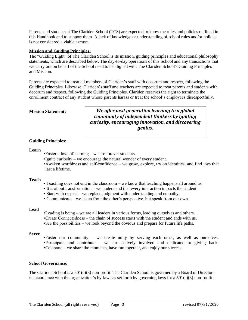Parents and students at The Clariden School (TCS) are expected to know the rules and policies outlined in this Handbook and to support them. A lack of knowledge or understanding of school rules and/or policies is not considered a viable excuse.

#### **Mission and Guiding Principles:**

The "Guiding Light" of The Clariden School is its mission, guiding principles and educational philosophy statements, which are described below. The day-to-day operations of this School and any transactions that we carry out on behalf of the School need to be aligned with The Clariden School's Guiding Principles and Mission.

Parents are expected to treat all members of Clariden's staff with decorum and respect, following the Guiding Principles. Likewise, Clariden's staff and teachers are expected to treat parents and students with decorum and respect, following the Guiding Principles. Clariden reserves the right to terminate the enrollment contract of any student whose parents harass or treat the school's employees disrespectfully.

#### **Mission Statement:**

*We offer next generation learning to a global community of independent thinkers by igniting curiosity, encouraging innovation, and discovering genius.*

#### **Guiding Principles:**

#### **Learn**

- •Foster a love of learning we are forever students.
- •Ignite curiosity we encourage the natural wonder of every student.
- •Awaken worthiness and self-confidence we grow, explore, try on identities, and find joys that last a lifetime.

#### **Teach**

- Teaching does not end in the classroom we know that teaching happens all around us.
- It is about transformation we understand that every interaction impacts the student.
- Start with respect we replace judgment with understanding and empathy.
- Communicate we listen from the other's perspective, but speak from our own.

#### **Lead**

•Leading is being – we are all leaders in various forms, leading ourselves and others. •Create Connectedness – the chain of success starts with the student and ends with us. •See the possibilities – we look beyond the obvious and prepare for future life paths.

#### **Serve**

•Foster our community – we create unity by serving each other, as well as ourselves. •Participate and contribute – we are actively involved and dedicated to giving back. •Celebrate – we share the moments, have fun together, and enjoy our success.

#### **School Governance:**

The Clariden School is a 501(c)(3) non-profit. The Clariden School is governed by a Board of Directors in accordance with the organization's by-laws as set forth by governing laws for a  $501(c)(3)$  non-profit.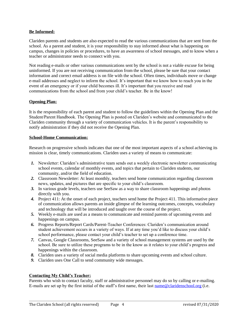#### **Be Informed:**

Clariden parents and students are also expected to read the various communications that are sent from the school. As a parent and student, it is your responsibility to stay informed about what is happening on campus, changes in policies or procedures, to have an awareness of school messages, and to know when a teacher or administrator needs to connect with you.

Not reading e-mails or other various communications sent by the school is not a viable excuse for being uninformed. If you are not receiving communication from the school, please be sure that your contact information and correct email address is on file with the school. Often times, individuals move or change e-mail addresses and neglect to inform the school. It's important that we know how to reach you in the event of an emergency or if your child becomes ill. It's important that you receive and read communications from the school and from your child's teacher. Be in the know!

#### **Opening Plan:**

It is the responsibility of each parent and student to follow the guidelines within the Opening Plan and the Student/Parent Handbook. The Opening Plan is posted on Clariden's website and communicated to the Clariden community through a variety of communication vehicles. It is the parent's responsibility to notify administration if they did not receive the Opening Plan.

#### **School-Home Communication:**

Research on progressive schools indicates that one of the most important aspects of a school achieving its mission is clear, timely communications. Clariden uses a variety of means to communicate:

- *1.* Newsletter: Clariden's administrative team sends out a weekly electronic newsletter communicating school events, calendar of monthly events, and topics that pertain to Clariden students, our community, and/or the field of education.
- *2.* Classroom Newsletter: At least monthly, teachers send home communication regarding classroom news, updates, and pictures that are specific to your child's classroom.
- *3.* In various grade levels, teachers use SeeSaw as a way to share classroom happenings and photos directly with you.
- *4.* Project 411: At the onset of each project, teachers send home the Project 411. This informative piece of communication allows parents an inside glimpse of the learning outcomes, concepts, vocabulary and technology that will be introduced and taught over the course of the project.
- *5.* Weekly e-mails are used as a means to communicate and remind parents of upcoming events and happenings on campus.
- *6.* Progress Reports/Report Cards/Parent-Teacher Conferences: Clariden's communication around student achievement occurs in a variety of ways. If at any time you'd like to discuss your child's school performance, please contact your child's teacher to set up a conference time.
- *7.* Canvas, Google Classrooms, SeeSaw and a variety of school management systems are used by the school. Be sure to utilize these programs to be in the know as it relates to your child's progress and happenings within the classroom.
- *8.* Clariden uses a variety of social media platforms to share upcoming events and school culture.
- *9.* Clariden uses One Call to send community wide messages.

#### **Contacting My Child's Teacher:**

Parents who wish to contact faculty, staff or administrative personnel may do so by calling or e-mailing. E-mails are set up by the first initial of the staff's first name, their last [name@claridenschool.org](mailto:name@claridenschool.org) (i.e.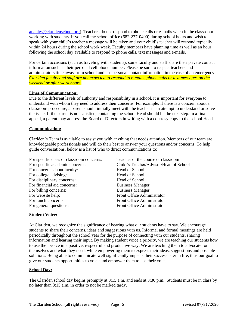[anaples@claridenschool.org\)](mailto:anaples@claridenschool.org). Teachers do not respond to phone calls or e-mails when in the classroom working with students. If you call the school office (682-237-0400) during school hours and wish to speak with your child's teacher a message will be taken and your child's teacher will respond typically within 24 hours during the school work week. Faculty members have planning time as well as an hour following the school day available to respond to phone calls, text messages and e-mails.

For certain occasions (such as traveling with students), some faculty and staff share their private contact information such as their personal cell phone number. Please be sure to respect teachers and administrators time away from school and use personal contact information in the case of an emergency*. Clariden faculty and staff are not expected to respond to e-mails, phone calls or text messages on the weekend or after work hours.*

#### **Lines of Communication:**

Due to the different levels of authority and responsibility in a school, it is important for everyone to understand with whom they need to address their concerns. For example, if there is a concern about a classroom procedure, a parent should initially meet with the teacher in an attempt to understand or solve the issue. If the parent is not satisfied, contacting the school Head should be the next step. In a final appeal, a parent may address the Board of Directors in writing with a courtesy copy to the school Head.

#### **Communication:**

Clariden's Team is available to assist you with anything that needs attention. Members of our team are knowledgeable professionals and will do their best to answer your questions and/or concerns. To help guide conversations, below is a list of who to direct communications to:

| For specific class or classroom concerns: | Teacher of the course or classroom     |
|-------------------------------------------|----------------------------------------|
| For specific academic concerns:           | Child's Teacher/Advisor/Head of School |
| For concerns about faculty:               | Head of School                         |
| For college advising:                     | Head of School                         |
| For disciplinary concerns:                | <b>Head of School</b>                  |
| For financial aid concerns:               | <b>Business Manager</b>                |
| For billing concerns:                     | <b>Business Manager</b>                |
| For website help:                         | Front Office Administrator             |
| For lunch concerns:                       | Front Office Administrator             |
| For general questions:                    | Front Office Administrator             |
|                                           |                                        |

#### **Student Voice:**

At Clariden, we recognize the significance of hearing what our students have to say. We encourage students to share their concerns, ideas and suggestions with us. Informal and formal meetings are held periodically throughout the school year for the purpose of connecting with our students, sharing information and hearing their input. By making student voice a priority, we are teaching our students how to use their voice in a positive, respectful and productive way. We are teaching them to advocate for themselves and what they need, while empowering them to express their ideas, suggestions and possible solutions. Being able to communicate well significantly impacts their success later in life, thus our goal to give our students opportunities to voice and empower them to use their voice.

#### **School Day:**

The Clariden school day begins promptly at 8:15 a.m. and ends at 3:30 p.m. Students must be in class by no later than 8:15 a.m. in order to not be marked tardy.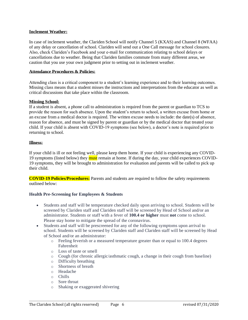#### **Inclement Weather:**

In case of inclement weather, the Clariden School will notify Channel 5 (KXAS) and Channel 8 (WFAA) of any delay or cancellation of school. Clariden will send out a One Call message for school closures. Also, check Clariden's Facebook and your e-mail for communication relating to school delays or cancellations due to weather. Being that Clariden families commute from many different areas, we caution that you use your own judgment prior to setting out in inclement weather.

#### **Attendance Procedures & Policies:**

Attending class is a critical component to a student's learning experience and to their learning outcomes. Missing class means that a student misses the instructions and interpretations from the educator as well as critical discussions that take place within the classroom.

#### **Missing School:**

If a student is absent, a phone call to administration is required from the parent or guardian to TCS to provide the reason for such absence. Upon the student's return to school, a written excuse from home or an excuse from a medical doctor is required. The written excuse needs to include: the date(s) of absence, reason for absence, and must be signed by parent or guardian or by the medical doctor that treated your child. If your child is absent with COVID-19 symptoms (see below), a doctor's note is required prior to returning to school.

#### **Illness:**

If your child is ill or not feeling well, please keep them home. If your child is experiencing any COVID-19 symptoms (listed below) they **must** remain at home. If during the day, your child experiences COVID-19 symptoms, they will be brought to administration for evaluation and parents will be called to pick up their child.

**COVID-19 Policies/Procedures:** Parents and students are required to follow the safety requirements outlined below:

#### **Health Pre-Screening for Employees & Students**

- Students and staff will be temperature checked daily upon arriving to school. Students will be screened by Clariden staff and Clariden staff will be screened by Head of School and/or an administrator. Students or staff with a fever of **100.4 or higher** must **not** come to school. Please stay home to mitigate the spread of the coronavirus.
- Students and staff will be prescreened for any of the following symptoms upon arrival to school. Students will be screened by Clariden staff and Clariden staff will be screened by Head of School and/or an administrator:
	- o Feeling feverish or a measured temperature greater than or equal to 100.4 degrees Fahrenheit
	- o Loss of taste or smell
	- o Cough (for chronic allergic/asthmatic cough, a change in their cough from baseline)
	- o Difficulty breathing
	- o Shortness of breath
	- o Headache
	- o Chills
	- o Sore throat
	- o Shaking or exaggerated shivering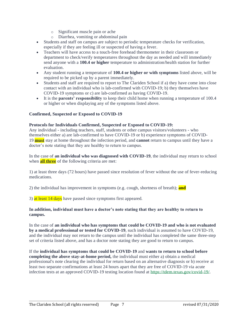- o Significant muscle pain or ache
- o Diarrhea, vomiting or abdominal pain
- Students and staff on campus are subject to periodic temperature checks for verification, especially if they are feeling ill or suspected of having a fever.
- Teachers will have access to a touch-free forehead thermometer in their classroom or department to check/verify temperatures throughout the day as needed and will immediately send anyone with a **100.4 or higher** temperature to administration/health station for further evaluation.
- Any student running a temperature of **100.4 or higher or with symptoms** listed above, will be required to be picked up by a parent immediately.
- Students and staff are required to report to The Clariden School if a) they have come into close contact with an individual who is lab-confirmed with COVID-19; b) they themselves have COVID-19 symptoms or c) are lab-confirmed as having COVID-19.
- It is the **parents' responsibility** to keep their child home when running a temperature of 100.4 or higher or when displaying any of the symptoms listed above.

#### **Confirmed, Suspected or Exposed to COVID-19**

#### **Protocols for Individuals Confirmed, Suspected or Exposed to COVID-19:**

Any individual - including teachers, staff, students or other campus visitors/volunteers - who themselves either a) are lab-confirmed to have COVID-19 or b) experience symptoms of COVID-19 **must** stay at home throughout the infection period, and **cannot** return to campus until they have a doctor's note stating that they are healthy to return to campus.

In the case of **an individual who was diagnosed with COVID-19**, the individual may return to school when **all three** of the following criteria are met:

1) at least three days (72 hours) have passed since resolution of fever without the use of fever-reducing medications.

2) the individual has improvement in symptoms (e.g. cough, shortness of breath); **and**

3) at least 14 days have passed since symptoms first appeared.

#### **In addition, individual must have a doctor's note stating that they are healthy to return to campus.**

In the case of **an individual who has symptoms that could be COVID-19 and who is not evaluated by a medical professional or tested for COVID-19**, such individual is assumed to have COVID-19, and the individual may not return to the campus until the individual has completed the same three-step set of criteria listed above, and has a doctor note stating they are good to return to campus.

If the **individual has symptoms that could be COVID-19** and **wants to return to school before completing the above stay-at-home period,** the individual must either a) obtain a medical professional's note clearing the individual for return based on an alternative diagnosis or b) receive at least two separate confirmations at least 24 hours apart that they are free of COVID-19 via acute infection tests at an approved COVID-19 testing location found at [https://tdem.texas.gov/covid-19/.](https://tdem.texas.gov/covid-19/)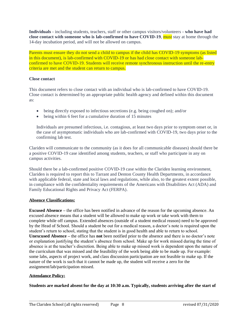**Individuals** - including students, teachers, staff or other campus visitors/volunteers - **who have had close contact with someone who is lab-confirmed to have COVID-19**, must stay at home through the 14-day incubation period, and will not be allowed on campus.

Parents must ensure they do not send a child to campus if the child has COVID-19 symptoms (as listed in this document), is lab-confirmed with COVID-19 or has had close contact with someone labconfirmed to have COVID-19. Students will receive remote synchronous instruction until the re-entry criteria are met and the student can return to campus.

#### **Close contact**

This document refers to close contact with an individual who is lab-confirmed to have COVID-19. Close contact is determined by an appropriate public health agency and defined within this document as:

- being directly exposed to infectious secretions (e.g. being coughed on); and/or
- being within 6 feet for a cumulative duration of 15 minutes

Individuals are presumed infectious, i.e. contagious, at least two days prior to symptom onset or, in the case of asymptomatic individuals who are lab-confirmed with COVID-19, two days prior to the confirming lab test.

Clariden will communicate to the community (as it does for all communicable diseases) should there be a positive COVID-19 case identified among students, teachers, or staff who participate in any on campus activities.

Should there be a lab-confirmed positive COVID-19 case within the Clariden learning environment, Clariden is required to report this to Tarrant and Denton County Health Departments, in accordance with applicable federal, state and local laws and regulations, while also, to the greatest extent possible, in compliance with the confidentiality requirements of the Americans with Disabilities Act (ADA) and Family Educational Rights and Privacy Act (FERPA).

#### **Absence Classifications:**

**Excused Absence –** the office has been notified in advance of the reason for the upcoming absence. An excused absence means that a student will be allowed to make up work or take work with them to complete while off campus. Extended absences (outside of a student medical reason) need to be approved by the Head of School. Should a student be out for a medical reason, a doctor's note is required upon the student's return to school, stating that the student is in good health and able to return to school. **Unexcused Absence –** the office has **not** been notified prior to the absence and there is no doctor's note or explanation justifying the student's absence from school. Make up for work missed during the time of absence is at the teacher's discretion. Being able to make up missed work is dependent upon the nature of the curriculum that was missed and the feasibility of the work being able to be made up. For example: some labs, aspects of project work, and class discussion participation are not feasible to make up. If the nature of the work is such that it cannot be made up, the student will receive a zero for the assignment/lab/participation missed.

#### **Attendance Policy:**

**Students are marked absent for the day at 10:30 a.m. Typically, students arriving after the start of**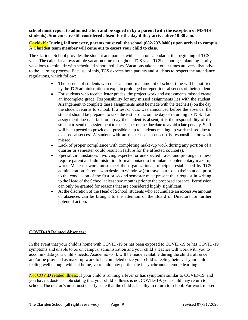**school must report to administration and be signed in by a parent (with the exception of MS/HS students). Students are still considered absent for the day if they arrive after 10:30 a.m.**

#### **Covid-19: During fall semester, parents must call the school (682-237-0400) upon arrival to campus. A Clariden team member will come out to escort your child to class.**

The Clariden School provides the student and parents with a school calendar at the beginning of TCS year. The calendar allows ample vacation time throughout TCS year. TCS encourages planning family vacations to coincide with scheduled school holidays. Vacations taken at other times are very disruptive to the learning process. Because of this, TCS expects both parents and students to respect the attendance regulations, which follow:

- The parents of students who miss an abnormal amount of school time will be notified by the TCS administration to explain prolonged or repetitious absences of their student.
- For students who receive letter grades, the project work and assessments missed create an incomplete grade. Responsibility for any missed assignments lies with the student. Arrangement to complete these assignments must be made with the teacher(s) on the day the student returns to school. If a test or quiz was announced before the absence, the student should be prepared to take the test or quiz on the day of returning to TCS. If an assignment due date falls on a day the student is absent, it is the responsibility of the student to send the assignment to the teacher on the due date to avoid a late penalty. Staff will be expected to provide all possible help to students making up work missed due to excused absences. A student with an unexcused absence(s) is responsible for work missed.
- Lack of proper compliance with completing make-up work during any portion of a quarter or semester could result in failure for the affected course(s).
- Special circumstances involving expected or unexpected travel and prolonged illness require parent and administration formal contact to formulate supplementary make-up work. Make-up work must meet the organizational principles established by TCS administration. Parents who desire to withdraw (for travel purposes) their student prior to the conclusion of the first or second semester must present their request in writing to the Head of the School at least two months prior to the proposed absence. Permission can only be granted for reasons that are considered highly significant.
- At the discretion of the Head of School, students who accumulate an excessive amount of absences can be brought to the attention of the Board of Directors for further potential action.

#### **COVID-19 Related Absences:**

In the event that your child is home with COVID-19 or has been exposed to COVID-19 or has COVID-19 symptoms and unable to be on campus, administration and your child's teacher will work with you to accommodate your child's needs. Academic work will be made available during the child's absence and/or be provided as make-up work to be completed once your child is feeling better. If your child is feeling well enough while at home, your child may participate in synchronous remote learning.

Not COVID related illness: If your child is running a fever or has symptoms similar to COVID-19, and you have a doctor's note stating that your child's illness is not COVID-19, your child may return to school. The doctor's note must clearly state that the child is healthy to return to school. For work missed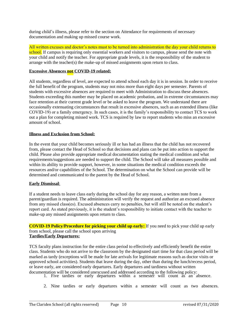during child's illness, please refer to the section on Attendance for requirements of necessary documentation and making up missed course work.

All written excuses and doctor's notes must to be turned into administration the day your child returns to school. If campus is requiring only essential workers and visitors to campus, please send the note with your child and notify the teacher. For appropriate grade levels, it is the responsibility of the student to arrange with the teacher(s) the make-up of missed assignments upon return to class.

#### **Excessive Absences not COVID-19 related:**

All students, regardless of level, are expected to attend school each day it is in session. In order to receive the full benefit of the program, students may not miss more than eight days per semester. Parents of students with excessive absences are required to meet with Administration to discuss these absences. Students exceeding this number may be placed on academic probation, and in extreme circumstances may face retention at their current grade level or be asked to leave the program. We understand there are occasionally extenuating circumstances that result in excessive absences, such as an extended illness (like COVID-19) or a family emergency. In such cases, it is the family's responsibility to contact TCS to work out a plan for completing missed work. TCS is required by law to report students who miss an excessive amount of school.

#### **Illness and Exclusion from School:**

In the event that your child becomes seriously ill or has had an illness that the child has not recovered from, please contact the Head of School so that decisions and plans can be put into action to support the child. Please also provide appropriate medical documentation stating the medical condition and what requirements/suggestions are needed to support the child. The School will take all measures possible and within its ability to provide support, however, in some situations the medical condition exceeds the resources and/or capabilities of the School. The determination on what the School can provide will be determined and communicated to the parent by the Head of School.

#### **Early Dismissal**:

If a student needs to leave class early during the school day for any reason, a written note from a parent/guardian is required. The administration will verify the request and authorize an excused absence from any missed class(es). Excused absences carry no penalties, but will still be noted on the student's report card. As stated previously, it is the student's responsibility to initiate contact with the teacher to make-up any missed assignments upon return to class.

**COVID-19 Policy/Procedure for picking your child up early:** If you need to pick your child up early from school, please call the school upon arriving **Tardies/Early Departures:**

TCS faculty plans instruction for the entire class period to effectively and efficiently benefit the entire class. Students who do not arrive to the classroom by the designated start time for that class period will be marked as tardy (exceptions will be made for late arrivals for legitimate reasons such as doctor visits or approved school activities). Students that leave during the day, other than during the lunch/recess period, or leave early, are considered early departures. Early departures and tardiness without written documentation will be considered unexcused and addressed according to the following policy:

- 1. Five tardies or early departures within a semester will count as an absence.
- 2. Nine tardies or early departures within a semester will count as two absences.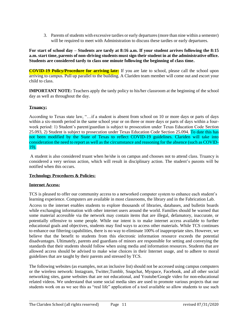3. Parents of students with excessive tardies or early departures (more than nine within a semester) will be required to meet with Administration to discuss these tardies or early departures.

**For start of school day – Students are tardy at 8:16 a.m. If your student arrives following the 8:15 a.m. start time, parents of non-driving students must sign their student in at the administrative office. Students are considered tardy to class one minute following the beginning of class time.**

**COVID-19 Policy/Procedure for arriving late:** If you are late to school, please call the school upon arriving to campus. Pull up parallel to the building. A Clariden team member will come out and escort your child to class.

**IMPORTANT NOTE:** Teachers apply the tardy policy to his/her classroom at the beginning of the school day as well as throughout the day.

#### **Truancy:**

According to Texas state law, "…if a student is absent from school on 10 or more days or parts of days within a six-month period in the same school year or on three or more days or parts of days within a fourweek period: 1) Student's parent/guardian is subject to prosecution under Texas Education Code Section 25.093, 2) Student is subject to prosecution under Texas Education Code Section 25.094. To date this has not been modified by the State of Texas to reflect COVID-19 guidelines. Clariden will take into consideration the need to report as well as the circumstance and reasoning for the absence (such as COVID-19).

A student is also considered truant when he/she is on campus and chooses not to attend class. Truancy is considered a very serious action, which will result in disciplinary action. The student's parents will be notified when this occurs.

#### **Technology Procedures & Policies:**

#### **Internet Access:**

TCS is pleased to offer our community access to a networked computer system to enhance each student's learning experience. Computers are available in most classrooms, the library and in the Fabrication Lab.

Access to the internet enables students to explore thousands of libraries, databases, and bulletin boards while exchanging information with other internet users around the world. Families should be warned that some material accessible via the network may contain items that are illegal, defamatory, inaccurate, or potentially offensive to some people. While our intent is to make internet access available to further educational goals and objectives, students may find ways to access other materials. While TCS continues to enhance our filtering capabilities, there is no way to eliminate 100% of inappropriate sites. However, we believe that the benefit to students from this electronic information resource exceeds the potential disadvantages. Ultimately, parents and guardians of minors are responsible for setting and conveying the standards that their students should follow when using media and information resources. Students that are allowed access should be advised to make wise choices in their Internet usage, and to adhere to moral guidelines that are taught by their parents and stressed by TCS.

The following websites (as examples, not an inclusive list) should not be accessed using campus computers or the wireless network: Instagram, Twitter,Tumblr, Snapchat, Myspace, Facebook, and all other social networking sites, game websites that are not educational, and Youtube/Google video for non-educational related videos. We understand that some social media sites are used to promote various projects that our students work on as we see this as "real life" application of a tool available so allow students to use such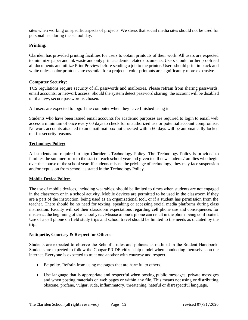sites when working on specific aspects of projects. We stress that social media sites should not be used for personal use during the school day.

#### **Printing:**

Clariden has provided printing facilities for users to obtain printouts of their work. All users are expected to minimize paper and ink waste and only print academic related documents. Users should further proofread all documents and utilize Print Preview before sending a job to the printer. Users should print in black and white unless color printouts are essential for a project – color printouts are significantly more expensive.

#### **Computer Security:**

TCS regulations require security of all passwords and mailboxes. Please refrain from sharing passwords, email accounts, or network access. Should the system detect password sharing, the account will be disabled until a new, secure password is chosen.

All users are expected to logoff the computer when they have finished using it.

Students who have been issued email accounts for academic purposes are required to login to email web access a minimum of once every 60 days to check for unauthorized use or potential account compromise. Network accounts attached to an email mailbox not checked within 60 days will be automatically locked out for security reasons.

#### **Technology Policy:**

All students are required to sign Clariden's Technology Policy. The Technology Policy is provided to families the summer prior to the start of each school year and given to all new students/families who begin over the course of the school year. If students misuse the privilege of technology, they may face suspension and/or expulsion from school as stated in the Technology Policy.

#### **Mobile Device Policy:**

The use of mobile devices, including wearables, should be limited to times when students are not engaged in the classroom or in a school activity. Mobile devices are permitted to be used in the classroom if they are a part of the instruction, being used as an organizational tool, or if a student has permission from the teacher. There should be no need for texting, speaking or accessing social media platforms during class instruction. Faculty will set their classroom expectations regarding cell phone use and consequences for misuse at the beginning of the school year. Misuse of one's phone can result in the phone being confiscated. Use of a cell phone on field study trips and school travel should be limited to the needs as dictated by the trip.

#### **Netiquette, Courtesy & Respect for Others:**

Students are expected to observe the School's rules and policies as outlined in the Student Handbook. Students are expected to follow the Cougar PRIDE citizenship model when conducting themselves on the internet. Everyone is expected to treat one another with courtesy and respect.

- Be polite. Refrain from using messages that are harmful to others.
- Use language that is appropriate and respectful when posting public messages, private messages and when posting materials on web pages or within any file. This means not using or distributing obscene, profane, vulgar, rude, inflammatory, threatening, hateful or disrespectful language.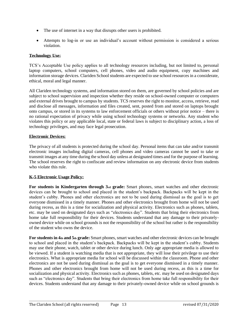- The use of internet in a way that disrupts other users is prohibited.
- Attempts to log-in or use an individual's account without permission is considered a serious violation.

#### **Technology Use:**

TCS's Acceptable Use policy applies to all technology resources including, but not limited to, personal laptop computers, school computers, cell phones, video and audio equipment, copy machines and information storage devices. Clariden School students are expected to use school resources in a considerate, ethical, moral and legal manner.

All Clariden technology systems, and information stored on them, are governed by school policies and are subject to school supervision and inspection whether they reside on school-owned computer or computers and external drives brought to campus by students. TCS reserves the right to monitor, access, retrieve, read and disclose all messages, information and files created, sent, posted from and stored on laptops brought onto campus, or stored in its systems to law enforcement officials or others without prior notice – there is no rational expectation of privacy while using school technology systems or networks. Any student who violates this policy or any applicable local, state or federal laws is subject to disciplinary action, a loss of technology privileges, and may face legal prosecution.

#### **Electronic Devices:**

The privacy of all students is protected during the school day. Personal items that can take and/or transmit electronic images including digital cameras, cell phones and video cameras cannot be used to take or transmit images at any time during the school day unless at designated times and for the purpose of learning. The school reserves the right to confiscate and review information on any electronic device from students who violate this rule.

#### **K-5 Electronic Usage Policy:**

**For students in Kindergarten through 3rd grade:** Smart phones, smart watches and other electronic devices can be brought to school and placed in the student's backpack. Backpacks will be kept in the student's cubby. Phones and other electronics are not to be used during dismissal as the goal is to get everyone dismissed in a timely manner. Phones and other electronics brought from home will not be used during recess, as this is a time for socialization and physical activity. Electronics such as phones, tablets, etc. may be used on designated days such as "electronics day". Students that bring their electronics from home take full responsibility for their devices. Students understand that any damage to their privatelyowned device while on school grounds is not the responsibility of the school but rather is the responsibility of the student who owns the device.

**For students in 4th and 5th grade:** Smart phones, smart watches and other electronic devices can be brought to school and placed in the student's backpack. Backpacks will be kept in the student's cubby. Students may use their phone, watch, tablet or other device during lunch. Only age appropriate media is allowed to be viewed. If a student is watching media that is not appropriate, they will lose their privilege to use their electronics. What is appropriate media for school will be discussed within the classroom. Phone and other electronics are not be used during dismissal as the goal is to get everyone dismissed in a timely manner. Phones and other electronics brought from home will not be used during recess, as this is a time for socialization and physical activity. Electronics such as phones, tablets, etc. may be used on designated days such as "electronics day". Students that bring their electronics from home take full responsibility for their devices. Students understand that any damage to their privately-owned device while on school grounds is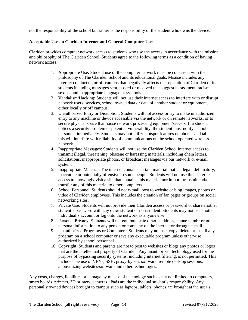not the responsibility of the school but rather is the responsibility of the student who owns the device.

#### **Acceptable Use on Clariden Internet and General Computer Use:**

Clariden provides computer network access to students who use the access in accordance with the mission and philosophy of The Clariden School. Students agree to the following terms as a condition of having network access:

- 1. Appropriate Use: Student use of the computer network must be consistent with the philosophy of The Clariden School and its educational goals. Misuse includes any internet conduct on or off campus that negatively affects the reputation of Clariden or its students including messages sent, posted or received that suggest harassment, racism, sexism and inappropriate language or symbols.
- 2. Vandalism/Hacking: Students will not use their internet access to interfere with or disrupt network users, services, school owned data or data of another student or equipment, either locally or off campus.
- 3. Unauthorized Entry or Disruption: Students will not access or try to make unauthorized entry to any machine or device accessible via the network or on remote networks, or to secure physical space that house network processing equipment/servers. If a student notices a security problem or potential vulnerability, the student must notify school personnel immediately. Students may not utilize hotspot features on phones and tablets as this will interfere with reliability of communications on the school operated wireless network.
- 4. Inappropriate Messages: Students will not use the Clariden School internet access to transmit illegal, threatening, obscene or harassing materials, including chain letters, solicitations, inappropriate photos, or broadcast messages via our network or e-mail system.
- 5. Inappropriate Material: The internet contains certain material that is illegal, defamatory, inaccurate or potentially offensive to some people. Students will not use their internet access to knowingly visit a site that contains this material nor import, transmit and/or transfer any of this material to other computers.
- 6. School Personnel: Students should not e-mail, post to website or blog images, photos or video of Clariden employees. This includes the creation of fan pages or groups on social networking sites.
- 7. Private Use: Students will not provide their Clariden access or password or share another student's password with any other student or non-student. Students may not use another individual's account or log onto the network as anyone else.
- 8. Personal Privacy: Stduents will not communicate other's address, phone numbr or other personal information to any person or company on the internet or through e-mail.
- 9. Unauthorized Programs or Computers: Students may not use, copy, delete or install any program on a school computer or save any executable program unless otherwise authorized by school personnel.
- 10. Copyright: Students and parents are not to post to websites or blogs any photos or logos that are the intellectual property of Clariden. Any unauthorized technology used for the purpose of bypassing security systems, including internet filtering, is not permitted. This includes the use of VPNs, SSH, proxy-bypass software, remote desktop sessions, anonymizing websites/software and other technologies.

Any costs, charges, liabilities or damage by misuse of technology such as but not limited to computers, smart boards, printers, 3D printers, cameras, iPads are the individual student's responsibility. Any personally owned devices brought to campus such as laptops, tablets, phones are brought at the user's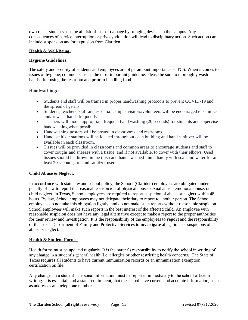own risk – students assume all risk of loss or damage by bringing devices to the campus. Any consequences of service interruption or privacy violation will lead to disciplinary action. Such action can include suspension and/or expulsion from Clariden.

#### **Health & Well-Being:**

#### **Hygiene Guidelines:**

The safety and security of students and employees are of paramount importance at TCS. When it comes to issues of hygiene, common sense is the most important guideline. Please be sure to thoroughly wash hands after using the restroom and prior to handling food.

#### **Handwashing:**

- Students and staff will be trained in proper handwashing protocols to prevent COVID-19 and the spread of germs.
- Students, teachers, staff and essential campus visitors/volunteers will be encouraged to sanitize and/or wash hands frequently.
- Teachers will model appropriate frequent hand washing (20 seconds) for students and supervise handwashing when possible.
- Handwashing posters will be posted in classrooms and restrooms.
- Hand sanitizer stations will be located throughout each building and hand sanitizer will be available in each classroom.
- Tissues will be provided in classrooms and common areas to encourage students and staff to cover coughs and sneezes with a tissue, and if not available, to cover with their elbows. Used tissues should be thrown in the trash and hands washed immediately with soap and water for at least 20 seconds, or hand sanitizer used.

#### **Child Abuse & Neglect:**

In accordance with state law and school policy, the School (Clariden) employees are obligated under penalty of law to report the reasonable suspicion of physical abuse, sexual abuse, emotional abuse, or child neglect. In Texas, School employees are required to report suspicion of abuse or neglect within 48 hours. By law, School employees may not delegate their duty to report to another person. The School employees do not take this obligation lightly, and do not make such reports without reasonable suspicion. School employees will make such reports in the best interest of the affected child. An employee with reasonable suspicion does not have any legal alternative except to make a report to the proper authorities for their review and investigation. It is the responsibility of the employees to **report** and the responsibility of the Texas Department of Family and Protective Services to **investigate** allegations or suspicions of abuse or neglect.

#### **Health & Student Forms:**

Health forms must be updated regularly. It is the parent's responsibility to notify the school in writing of any change in a student's general health (i.e. allergies or other restricting health concerns). The State of Texas requires all students to have current immunization records or an immunization exemption certification on file.

Any changes in a student's personal information must be reported immediately to the school office in writing. It is essential, and a state requirement, that the school have current and accurate information, such as addresses and telephone numbers.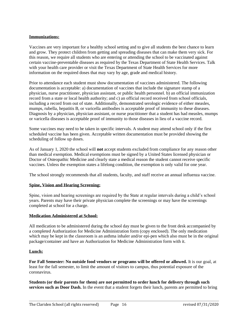#### **Immunizations:**

Vaccines are very important for a healthy school setting and to give all students the best chance to learn and grow. They protect children from getting and spreading diseases that can make them very sick. For this reason, we require all students who are entering or attending the school to be vaccinated against certain vaccine-preventable diseases as required by the Texas Department of State Health Services. Talk with your health care provider or visit the Texas Department of State Health Services for more information on the required doses that may vary by age, grade and medical history.

Prior to attendance each student must show documentation of vaccines administered. The following documentation is acceptable: a) documentation of vaccines that include the signature stamp of a physician, nurse practitioner, physician assistant, or public health personnel. b) an official immunization record from a state or local health authority; and c) an official record received from school officials, including a record from out of state. Additionally, demonstrated serologic evidence of either measles, mumps, rubella, hepatitis B, or varicella antibodies is acceptable proof of immunity to these diseases. Diagnosis by a physician, physician assistant, or nurse practitioner that a student has had measles, mumps or varicella diseases is acceptable proof of immunity to those diseases in lieu of a vaccine record.

Some vaccines may need to be taken in specific intervals. A student may attend school only if the first scheduled vaccine has been given. Acceptable written documentation must be provided showing the scheduling of follow up doses.

As of January 1, 2020 the school will **not** accept students excluded from compliance for any reason other than medical exemption. Medical exemptions must be signed by a United States licensed physician or Doctor of Osteopathic Medicine and clearly state a medical reason the student cannot receive specific vaccines. Unless the exemption states a lifelong condition, the exemption is only valid for one year.

The school strongly recommends that all students, faculty, and staff receive an annual influenza vaccine.

#### **Spine, Vision and Hearing Screening:**

Spine, vision and hearing screenings are required by the State at regular intervals during a child's school years. Parents may have their private physician complete the screenings or may have the screenings completed at school for a charge.

#### **Medication Administered at School:**

All medication to be administered during the school day must be given to the front desk accompanied by a completed Authorization for Medicine Administration form (copy enclosed). The only medication which may be kept in the classroom is an asthma inhaler and/or epi-pen which also must be in the original package/container and have an Authorization for Medicine Administration form with it.

#### **Lunch:**

**For Fall Semester: No outside food vendors or programs will be offered or allowed.** It is our goal, at least for the fall semester, to limit the amount of visitors to campus, thus potential exposure of the coronavirus.

**Students (or their parents for them) are not permitted to order lunch for delivery through such services such as Door Dash.** In the event that a student forgets their lunch, parents are permitted to bring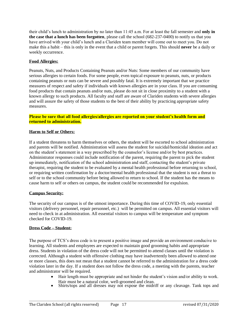their child's lunch to administration by no later than 11:45 a.m. For at least the fall semester and **only in the case that a lunch has been forgotten**, please call the school (682-237-0400) to notify us that you have arrived with your child's lunch and a Clariden team member will come out to meet you. Do not make this a habit – this is only in the event that a child or parent forgets. This should **never** be a daily or weekly occurrence.

#### **Food Allergies:**

Peanuts, Nuts, and Products Containing Peanuts and/or Nuts: Some members of our community have serious allergies to certain foods. For some people, even topical exposure to peanuts, nuts, or products containing peanuts or nuts can be severe and possibly fatal. It is extremely important that we practice measures of respect and safety if individuals with known allergies are in your class. If you are consuming food products that contain peanuts and/or nuts, please do not sit in close proximity to a student with a known allergy to such products. All faculty and staff are aware of Clariden students with severe allergies and will assure the safety of those students to the best of their ability by practicing appropriate safety measures.

#### **Please be sure that all food allergies/allergies are reported on your student's health form and returned to administration.**

#### **Harm to Self or Others:**

If a student threatens to harm themselves or others, the student will be escorted to school administration and parents will be notified. Administration will assess the student for suicidal/homicidal ideation and act on the student's statement in a way prescribed by the counselor's license and/or by best practices. Administrator responses could include notification of the parent, requiring the parent to pick the student up immediately, notification of the school administration and staff, contacting the student's private therapist, requiring the student to be evaluated by a mental health professional before returning to school, or requiring written confirmation by a doctor/mental health professional that the student is not a threat to self or to the school community before being allowed to return to school. If the student has the means to cause harm to self or others on campus, the student could be recommended for expulsion.

#### **Campus Security:**

The security of our campus is of the utmost importance. During this time of COVID-19, only essential visitors (delivery personnel, repair personnel, etc.) will be permitted on campus. All essential visitors will need to check in at administration. All essential visitors to campus will be temperature and symptom checked for COVID-19.

#### **Dress Code – Student:**

The purpose of TCS's dress code is to present a positive image and provide an environment conducive to learning. All students and employees are expected to maintain good grooming habits and appropriate dress. Students in violation of the dress code will not be permitted to attend classes until the violation is corrected. Although a student with offensive clothing may have inadvertently been allowed to attend one or more classes, this does not mean that a student cannot be referred to the administration for a dress code violation later in the day. If a student does not follow the dress code, a meeting with the parents, teacher and administrator will be required.

- Hair length must be appropriate and not hinder the student's vision and/or ability to work. Hair must be a natural color, well-groomed and clean.
- Shirts/tops and all dresses may not expose the midriff or any cleavage. Tank tops and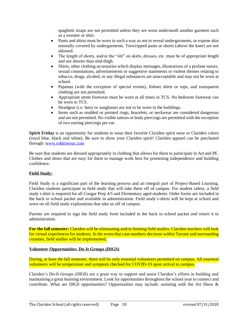spaghetti straps are not permitted unless they are worn underneath another garment such as a sweater or shirt.

- Pants and shirts must be worn in such a way as not to reveal undergarments, or expose skin normally covered by undergarments. Torn/ripped pants or shorts (above the knee) are not allowed.
- The length of shorts, and/or the "slit" on skirts, dresses, etc. must be of appropriate length and not shorter than mid-thigh.
- Shirts, other clothing accessories which display messages, illustrations of a profane nature, sexual connotations, advertisements or suggestive statements or violent themes relating to tobacco, drugs, alcohol, or any illegal substances are unacceptable and may not be worn at school.
- Pajamas (with the exception of special events), fishnet shirts or tops, and transparent clothing are not permitted.
- Appropriate street footwear must be worn at all times in TCS. No bedroom footwear can be worn in TCS.
- Headgear (i.e. hats) or sunglasses are not to be worn in the buildings.
- Items such as studded or pointed rings, bracelets, or neckwear are considered dangerous and are not permitted. No visible tattoos or body piercings are permitted with the exception of two earring piercings per ear.

**Spirit Friday** is an opportunity for students to wear their favorite Clariden spirit wear or Clariden colors (royal blue, black and white). Be sure to show your Clariden spirit! Clariden apparel can be purchased through: [www.rokkitwear.com](http://www.rokkitwear.com/)

Be sure that students are dressed appropriately in clothing that allows for them to participate in Art and PE. Clothes and shoes that are easy for them to manage work best for promoting independence and building confidence.

#### **Field Study:**

Field Study is a significant part of the learning process and an integral part of Project-Based Learning. Clariden students participate in field study that will take them off of campus. For student safety, a field study t-shirt is required for all Cougar Prep 4/5 and Elementary aged students. Order forms are included in the back to school packet and available in administration. Field study t-shirts will be kept at school and worn on all field study explorations that take us off of campus.

Parents are required to sign the field study form included in the back to school packet and return it to administration.

**For the fall semester:** Clariden will be eliminating and/or limiting field studies. Clariden teachers will look for virtual experiences for students. In the event that case numbers decrease within Tarrant and surrounding counties, field studies will be implemented.

#### **Volunteer Opportunities: Do-It Groups (DIGS)**

During, at least the fall semester, there will be only essential volunteers permitted on campus. All essential volunteers will be temperature and symptom checked for COVID-19 upon arrival to campus.

Clariden's Do-It Groups (DIGS) are a great way to support and assist Clariden's efforts in building and maintaining a great learning environment. Look for opportunities throughout the school year to connect and contribute. What are DIGS opportunities? Opportunities may include: assisting with the Art Show &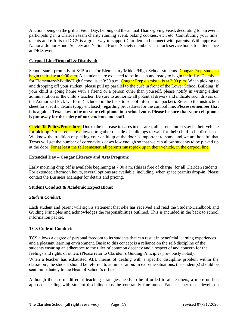Auction, being on the grill at Field Day, helping out the annual Thanksgiving Feast, decorating for an event, participating in a Clariden team charity running event, baking cookies, etc., etc. Contributing your time, talents and efforts to DIGS is a great way to support Clariden and connect with parents. With approval, National Junior Honor Society and National Honor Society members can clock service hours for attendance at DIGS events.

#### **Carpool Line/Drop off & Dismissal:**

School starts promptly at 8:15 a.m. for Elementary/Middle/High School students. Cougar Prep students begin their day at 9:00 a.m. All students are expected to be in class and ready to begin their day. Dismissal for Elementary/Middle/High School is at 3:30 p.m. Cougar Prep dismissal is at 2:00 p.m. When picking up and dropping off your student, please pull up parallel to the curb in front of the Lower School Building. If your child is going home with a friend or a person other than yourself, please notify in writing either administration or the child's teacher. Be sure to authorize all potential drivers and indicate such drivers on the Authorized Pick Up form (included in the back to school information packet). Refer to the instruction sheet for specific details (copy enclosed) regarding procedures for the carpool line. **Please remember that it is against Texas law to be on your cell phone in a school zone. Please be sure that your cell phone is put away for the safety of our students and staff.**

**Covid-19 Policy/Procedure:** Due to the increase in cases in our area, all parents **must** stay in their vehicle for pick up. No parents are allowed to gather outside of buildings to wait for their child to be dismissed. We know the tradition of picking your child up at the door is important to some and we are hopeful that Texas will get the number of coronavirus cases low enough so that we can allow students to be picked up at the door. For at least the fall semester, all parents **must** pick up in their vehicle, in the carpool line.

#### **Extended Day – Cougar Literacy and Arts Program:**

Early morning drop off is available beginning at 7:30 a.m. (this is free of charge) for all Clariden students. For extended afternoon hours, several options are available, including, when space permits drop-in. Please contact the Business Manager for details and pricing.

#### **Student Conduct & Academic Expectations:**

#### *Student Conduct:*

Each student and parent will sign a statement that s/he has received and read the Student-Handbook and Guiding Principles and acknowledges the responsibilities outlined. This is included in the back to school information packet.

#### **TCS Code of Conduct:**

TCS allows a degree of personal freedom to its students that can result in beneficial learning experiences and a pleasant learning environment. Basic to this concept is a reliance on the self-discipline of the students ensuring an adherence to the rules of common decency and a respect of and concern for the feelings and rights of others (Please refer to Clariden's Guiding Principles previously noted).

When a teacher has exhausted ALL means of dealing with a specific discipline problem within the classroom, the student should be referred to administration. In extreme situations, the student(s) should be sent immediately to the Head of School's office.

Although the use of different teaching strategies needs to be afforded to all teachers, a more unified approach dealing with student discipline must be constantly fine-tuned. Each teacher must develop a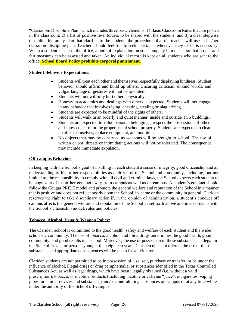"Classroom Discipline Plan" which includes three basic elements: 1) Basic Classroom Rules that are posted in the classroom; 2) a list of positive re-enforcers to be shared with the students; and 3) a clear stepwise discipline hierarchy plan that clarifies to the students the procedures that the teacher will use in his/her classroom discipline plan. Teachers should feel free to seek assistance whenever they feel it is necessary. When a student is sent to the office, a note of explanation must accompany him or her so that proper and fair measures can be assessed and taken. An individual record is kept on all students who are sent to the office. **School Board Policy prohibits corporal punishment**.

#### **Student Behavior Expectations:**

- Students will treat each other and themselves respectfully displaying kindness. Student behavior should affirm and build up others. Uncaring criticism, unkind words, and vulgar language or gestures will not be tolerated.
- Students will not willfully hurt others physically.
- Honesty in academics and dealings with others is expected. Students will not engage in any behavior that involves lying, cheating, stealing or plagiarizing.
- Students are expected to be mindful of the rights of others.
- Students will walk in an orderly and quiet manner, inside and outside TCS buildings.
- Students are expected to value personal belongings, respect the possessions of others and show concern for the proper use of school property. Students are expected to clean up after themselves, replace equipment, and not litter.
- No objects that may be construed as weapons will be brought to school. The use of written or oral threats or intimidating actions will not be tolerated. The consequence may include immediate expulsion.

#### **Off-campus Behavior:**

In keeping with the School's goal of instilling in each student a sense of integrity, good citizenship and an understanding of his or her responsibilities as a citizen of the School and community, including, but not limited to, the responsibility to comply with all civil and criminal laws, the School expects each student to be cognizant of his or her conduct away from campus as well as on campus. A student's conduct should follow the Cougar PRIDE model and promote the general welfare and reputation of the School in a manner that is positive and does not reflect poorly upon the School, its name or the community in general. Clariden reserves the right to take disciplinary action if, in the opinion of administration, a student's conduct off campus affects the general welfare and reputation of the School as set forth above and in accordance with the School's citizenship model, rules and policies.

#### **Tobacco, Alcohol, Drug & Weapon Policy:**

The Clariden School is committed to the good health, safety and welfare of each student and the wider scholastic community. The use of tobacco, alcohol, and illicit drugs undermines the good health, good community, and good results in a school. Moreover, the use or possession of these substances is illegal in the State of Texas for persons younger than eighteen years. Clariden does not tolerate the use of these substances and appropriate consequences will be taken for all violators.

Clariden students are not permitted to be in possession of, use, sell, purchase or transfer, or be under the influence of alcohol, illegal drugs or drug paraphernalia, or substances identified in the Texas Controlled Substances Act, as well as legal drugs, which have been illegally obtained (i.e. without a valid prescription), tobacco, or nicotine products (including nicotine or caffeine "juice", e-cigarettes, vaping pipes, or similar devices and substances) and/or mind-altering substances on campus or at any time while under the authority of the School off-campus.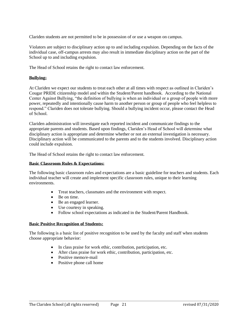Clariden students are not permitted to be in possession of or use a weapon on campus.

Violators are subject to disciplinary action up to and including expulsion. Depending on the facts of the individual case, off-campus arrests may also result in immediate disciplinary action on the part of the School up to and including expulsion.

The Head of School retains the right to contact law enforcement.

#### **Bullying:**

At Clariden we expect our students to treat each other at all times with respect as outlined in Clariden's Cougar PRIDE citizenship model and within the Student/Parent handbook. According to the National Center Against Bullying, "the definition of bullying is when an individual or a group of people with more power, repeatedly and intentionally cause harm to another person or group of people who feel helpless to respond." Clariden does not tolerate bullying. Should a bullying incident occur, please contact the Head of School.

Clariden administration will investigate each reported incident and communicate findings to the appropriate parents and students. Based upon findings, Clariden's Head of School will determine what disciplinary action is appropriate and determine whether or not an external investigation is necessary. Disciplinary action will be communicated to the parents and to the students involved. Disciplinary action could include expulsion.

The Head of School retains the right to contact law enforcement.

#### **Basic Classroom Rules & Expectations:**

The following basic classroom rules and expectations are a basic guideline for teachers and students. Each individual teacher will create and implement specific classroom rules, unique to their learning environments.

- Treat teachers, classmates and the environment with respect.
- Be on time.
- Be an engaged learner.
- Use courtesy in speaking.
- Follow school expectations as indicated in the Student/Parent Handbook.

#### **Basic Positive Recognition of Students:**

The following is a basic list of positive recognition to be used by the faculty and staff when students choose appropriate behavior:

- In class praise for work ethic, contribution, participation, etc.
- After class praise for work ethic, contribution, participation, etc.
- Positive memo/e-mail
- Positive phone call home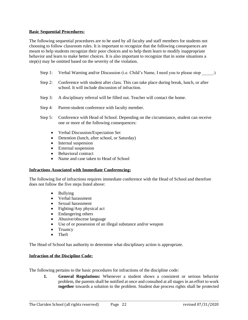#### **Basic Sequential Procedures:**

The following sequential procedures are to be used by all faculty and staff members for students not choosing to follow classroom rules. It is important to recognize that the following consequences are meant to help students recognize their poor choices and to help them learn to modify inappropriate behavior and learn to make better choices. It is also important to recognize that in some situations a step(s) may be omitted based on the severity of the violation.

- Step 1: Verbal Warning and/or Discussion (i.e. Child's Name, I need you to please stop  $\qquad \qquad$ .)
- Step 2: Conference with student after class. This can take place during break, lunch, or after school. It will include discussion of infraction.
- Step 3: A disciplinary referral will be filled out. Teacher will contact the home.
- Step 4: Parent-student conference with faculty member.
- Step 5: Conference with Head of School. Depending on the circumstance, student can receive one or more of the following consequences:
	- Verbal Discussion/Expectation Set
	- Detention (lunch, after school, or Saturday)
	- Internal suspension
	- External suspension
	- Behavioral contract
	- Name and case taken to Head of School

#### **Infractions Associated with Immediate Conferencing:**

The following list of infractions requires immediate conference with the Head of School and therefore does not follow the five steps listed above:

- Bullying
- Verbal harassment
- Sexual harassment
- Fighting/Any physical act
- Endangering others
- Abusive/obscene language
- Use of or possession of an illegal substance and/or weapon
- Truancy
- Theft

The Head of School has authority to determine what disciplinary action is appropriate.

#### **Infraction of the Discipline Code:**

The following pertains to the basic procedures for infractions of the discipline code:

**1. General Regulations:** Whenever a student shows a consistent or serious behavior problem, the parents shall be notified at once and consulted at all stages in an effort to work **together** towards a solution to the problem. Student due process rights shall be protected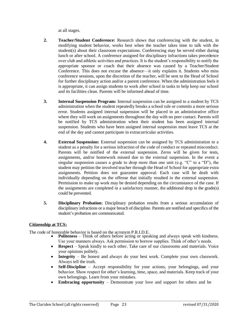at all stages.

- **2. Teacher/Student Conference:** Research shows that conferencing with the student, in modifying student behavior, works best when the teacher takes time to talk with the student(s) about their classroom expectations. Conferencing may be served either during lunch or after school. A conference assigned for disciplinary infractions takes precedence over club and athletic activities and practices. It is the student's responsibility to notify the appropriate sponsor or coach that their absence was caused by a Teacher/Student Conference. This does not excuse the absence—it only explains it. Students who miss conference sessions, upon the discretion of the teacher, will be sent to the Head of School for further disciplinary action and/or a parent conference. When the administration feels it is appropriate, it can assign students to work after school in tasks to help keep our school and its facilities clean. Parents will be informed ahead of time.
- **3. Internal Suspension Program:** Internal suspension can be assigned to a student by TCS administration when the student repeatedly breaks a school rule or commits a more serious error. Students assigned internal suspension will be placed in an administrative office where they will work on assignments throughout the day with no peer contact. Parents will be notified by TCS administration when their student has been assigned internal suspension. Students who have been assigned internal suspension must leave TCS at the end of the day and cannot participate in extracurricular activities.
- **4. External Suspension:** External suspension can be assigned by TCS administration to a student as a penalty for a serious infraction of the code of conduct or repeated misconduct. Parents will be notified of the external suspension. Zeros will be given for tests, assignments, and/or homework missed due to the external suspension. In the event a singular suspension causes a grade to drop more than one unit (e.g. " $C$ " to a "D"), the student may petition the involved teacher through the Head of School for appropriate extra assignments. Petition does not guarantee approval. Each case will be dealt with individually depending on the offense that initially resulted in the external suspension. Permission to make up work may be denied depending on the circumstance of the case. If the assignments are completed in a satisfactory manner, the additional drop in the grade(s) could be prevented.
- **5. Disciplinary Probation:** Disciplinary probation results from a serious accumulation of disciplinary infractions or a major breach of discipline. Parents are notified and specifics of the student's probation are communicated.

#### **Citizenship at TCS:**

The code of honorable behavior is based on the acronym P.R.I.D.E.

- **Politeness** Think of others before acting or speaking and always speak with kindness. Use your manners always. Ask permission to borrow supplies. Think of other's needs.
- **Respect** Speak kindly to each other. Take care of our classrooms and materials. Voice your opinions politely.
- **Integrity** Be honest and always do your best work. Complete your own classwork. Always tell the truth.
- **Self-Discipline** Accept responsibility for your actions, your belongings, and your behavior. Show respect for other's learning, time, space, and materials. Keep track of your own belongings. Learn from your mistakes.
- **Embracing opportunity** Demonstrate your love and support for others and be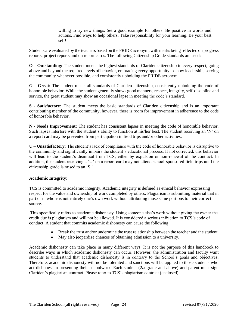willing to try new things. Set a good example for others. Be positive in words and actions. Find ways to help others. Take responsibility for your learning. Be your best self!

Students are evaluated by the teachers based on the PRIDE acronym, with marks being reflected on progress reports, project reports and on report cards. The following Citizenship Grade standards are used:

**O – Outstanding:** The student meets the highest standards of Clariden citizenship in every respect, going above and beyond the required levels of behavior, embracing every opportunity to show leadership, serving the community whenever possible, and consistently upholding the PRIDE acronym.

**G – Great:** The student meets all standards of Clariden citizenship, consistently upholding the code of honorable behavior. While the student generally shows good manners, respect, integrity, self-discipline and service, the great student may show an occasional lapse in meeting the code's standard.

**S - Satisfactory:** The student meets the basic standards of Clariden citizenship and is an important contributing member of the community, however, there is room for improvement in adherence to the code of honorable behavior.

**N - Needs Improvement:** The student has consistent lapses in meeting the code of honorable behavior. Such lapses interfere with the student's ability to function at his/her best. The student receiving an 'N' on a report card may be prevented from participation in field trips and/or other activities.

**U – Unsatisfactory:** The student's lack of compliance with the code of honorable behavior is disruptive to the community and significantly impairs the student's educational process. If not corrected, this behavior will lead to the student's dismissal from TCS, either by expulsion or non-renewal of the contract. In addition, the student receiving a 'U' on a report card may not attend school-sponsored field trips until the citizenship grade is raised to an 'S.'

#### **Academic Integrity:**

TCS is committed to academic integrity. Academic integrity is defined as ethical behavior expressing respect for the value and ownership of work completed by others. Plagiarism is submitting material that in part or in whole is not entirely one's own work without attributing those same portions to their correct source.

This specifically refers to academic dishonesty. Using someone else's work without giving the owner the credit due is plagiarism and will not be allowed. It is considered a serious infraction to TCS's code of conduct. A student that commits academic dishonesty can cause the following:

- Break the trust and/or undermine the trust relationship between the teacher and the student.
- May also jeopardize chances of obtaining admission to a university.

Academic dishonesty can take place in many different ways. It is not the purpose of this handbook to describe ways in which academic dishonesty can occur. However, the administration and faculty want students to understand that academic dishonesty is in contrary to the School's goals and objectives. Therefore, academic dishonesty will not be tolerated and sanctions will be applied to those students who act dishonest in presenting their schoolwork. Each student (2nd grade and above) and parent must sign Clariden's plagiarism contract. Please refer to TCS's plagiarism contract (enclosed).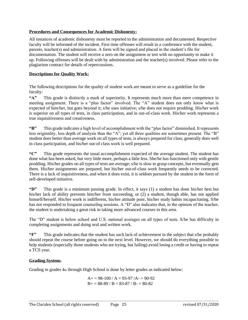#### **Procedures and Consequences for Academic Dishonesty:**

All instances of academic dishonesty must be reported to the administration and documented. Respective faculty will be informed of the incident. First time offenses will result in a conference with the student, parents, teacher(s) and administration. A form will be signed and placed in the student's file for documentation. The student will receive a zero on the assignment or test with no opportunity to make it up. Following offenses will be dealt with by administration and the teacher(s) involved. Please refer to the plagiarism contract for details of repercussions.

#### **Descriptions for Quality Work:**

The following descriptions for the quality of student work are meant to serve as a guideline for the faculty:

**"A"** This grade is distinctly a mark of superiority. It represents much more than mere competence in meeting assignment. There is a "plus factor" involved. The "A" student does not only know what is expected of him/her, but goes beyond it; s/he uses initiative; s/he does not require prodding. His/her work is superior on all types of tests, in class participation, and in out-of-class work. His/her work represents a true inquisitiveness and creativeness.

**"B"** This grade indicates a high level of accomplishment with the "plus factor" diminished. It represents less originality, less depth of analysis than the "A"; yet all three qualities are sometimes present. The "B" student does better than average work on all types of tests, is always prepared for class, generally does well in class participation, and his/her out-of class work is well prepared.

**"C"** This grade represents the usual accomplishment expected of the average student. The student has done what has been asked, but very little more, perhaps a little less. She/he has functioned only with gentle prodding. His/her grades on all types of tests are average; s/he is slow to grasp concepts, but eventually gets them. His/her assignments are prepared, but his/her out-of-class work frequently needs to be corrected. There is a lack of inquisitiveness, and when it does exist, it is seldom pursued by the student in the form of self-developed initiative.

**"D"** This grade is a minimum passing grade. In effect, it says (1) a student has done his/her best but his/her lack of ability prevents him/her from succeeding, or (2) a student, though able, has not applied himself/herself. His/her work is indifferent, his/her attitude poor, his/her study habits incapacitating. S/he has not responded to frequent counseling sessions. A "D" also indicates that, in the opinion of the teacher, the student is undertaking a great risk in taking more advanced courses in this area.

The "D" student is below school and U.S. national averages on all types of tests. S/he has difficulty in completing assignments and doing oral and written work.

**"F"** This grade indicates that the student has such lack of achievement in the subject that s/he probably should repeat the course before going on to the next level. However, we should do everything possible to help students (especially those students who are trying, but failing) avoid losing a credit or having to repeat a TCS year.

#### **Grading System:**

Grading in grades  $4<sub>th</sub>$  through High School is done by letter grades as indicated below:

$$
A+ = 98-100 / A = 93-97 / A = 90-92
$$
  
B+ = 88-89 / B = 83-87 / B = 80-82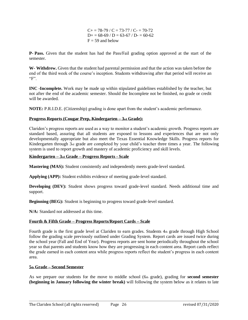$C+= 78-79 / C = 73-77 / C = 70-72$  $D_{+} = 68-69 / D = 63-67 / D = 60-62$  $F = 59$  and below

**P- Pass.** Given that the student has had the Pass/Fail grading option approved at the start of the semester.

**W- Withdrew.** Given that the student had parental permission and that the action was taken before the end of the third week of the course's inception. Students withdrawing after that period will receive an  $"F"$ .

**INC -Incomplete.** Work may be made up within stipulated guidelines established by the teacher, but not after the end of the academic semester. Should the Incomplete not be finished, no grade or credit will be awarded.

**NOTE:** P.R.I.D.E. (Citizenship) grading is done apart from the student's academic performance.

#### **Progress Reports (Cougar Prep, Kindergarten – 3rd Grade):**

Clariden's progress reports are used as a way to monitor a student's academic growth. Progress reports are standard based, assuring that all students are exposed to lessons and experiences that are not only developmentally appropriate but also meet the Texas Essential Knowledge Skills. Progress reports for Kindergarten through 3rd grade are completed by your child's teacher three times a year. The following system is used to report growth and mastery of academic proficiency and skill levels.

#### **Kindergarten – 3rd Grade – Progress Reports - Scale**

**Mastering (MAS):** Student consistently and independently meets grade-level standard.

**Applying (APP):** Student exhibits evidence of meeting grade-level standard.

**Developing (DEV):** Student shows progress toward grade-level standard. Needs additional time and support.

**Beginning (BEG):** Student is beginning to progress toward grade-level standard.

**N/A:** Standard not addressed at this time.

#### **Fourth & Fifth Grade – Progress Reports/Report Cards – Scale**

Fourth grade is the first grade level at Clariden to earn grades. Students 4th grade through High School follow the grading scale previously outlined under Grading System. Report cards are issued twice during the school year (Fall and End of Year). Progress reports are sent home periodically throughout the school year so that parents and students know how they are progressing in each content area. Report cards reflect the grade earned in each content area while progress reports reflect the student's progress in each content area.

#### **5th Grade – Second Semester**

As we prepare our students for the move to middle school (6th grade), grading for **second semester (beginning in January following the winter break)** will following the system below as it relates to late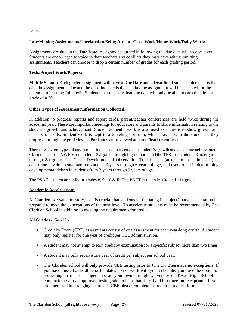work.

#### **Late/Missing Assignments Unrelated to Being Absent- Class Work/Home Work/Daily Work:**

Assignments are due on the **Due Date.** Assignments turned in following the due date will receive a zero. Students are encouraged to voice to their teachers any conflicts they may have with submitting assignments. Teachers can choose to drop a certain number of grades for each grading period.

#### **Tests/Project Work/Papers:**

**Middle School:** Each graded assignment will have a **Due Date** and a **Deadline Date**. The due date is the date the assignment is due and the deadline date is the last day the assignment will be accepted for the potential of earning full credit. Students that miss the deadline date will only be able to earn the highest grade of a 70.

#### **Other Types of Assessment/Information Collected:**

In addition to progress reports and report cards, parent/teacher conferences are held twice during the academic year. These are important meetings for educators and parents to share information relating to the student's growth and achievement. Student authentic work is also used as a means to show growth and mastery of skills. Student work is kept in a traveling portfolio, which travels with the student as they progress through the grade levels. Portfolios are reviewed at parent/teacher conferences.

There are several types of assessment tools used to assess each student's growth and academic achievement. Clariden uses the NWEA for students  $3<sub>rd</sub>$  grade through high school, and the TPRI for students Kindergarten through 2nd grade. The Gesell Developmental Observation Tool is used (at the time of admission) to determine developmental age for students 3 years through 6 years of age, and used to aid in determining developmental delays in students from 3 years through 9 years of age.

The PSAT is taken annually in grades 8, 9, 10 & ll. The PACT is taken in  $10<sub>th</sub>$  and  $11<sub>th</sub>$  grade.

#### **Academic Acceleration:**

At Clariden, we value mastery, as it is crucial that students participating in subject/course acceleration be prepared to meet the expectations of the next level. To accelerate students must be recommended by The Clariden School in addition to meeting the requirements for credit.

#### **All Grades - 5th -12th :**

- Credit by Exam (CBE) assessments consist of one assessment for each year-long course. A student may only register for one year of credit per CBE administration.
- A student may not attempt to earn credit by examination for a specific subject more than two times.
- A student may only receive one year of credit per subject per school year.
- The Clariden school will only provide CBE testing prior to June 1<sub>st</sub>. **There are no exceptions.** If you have missed a deadline or the dates do not work with your schedule, you have the option of requesting to make arrangements on your own through University of Texas High School in conjunction with an approved testing site no later than July 1st. **There are no exceptions**. If you are interested in arranging an outside CBE please complete the required request form.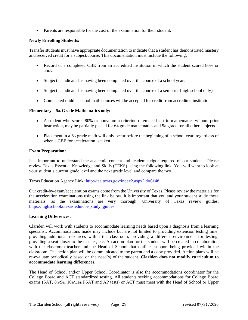• Parents are responsible for the cost of the examination for their student.

#### **Newly Enrolling Students:**

Transfer students must have appropriate documentation to indicate that a student has demonstrated mastery and received credit for a subject/course. This documentation must include the following:

- Record of a completed CBE from an accredited institution in which the student scored 80% or above.
- Subject is indicated as having been completed over the course of a school year.
- Subject is indicated as having been completed over the course of a semester (high school only).
- Compacted middle school math courses will be accepted for credit from accredited institutions.

#### **Elementary – 5th Grade Mathematics only:**

- A student who scores 80% or above on a criterion-referenced test in mathematics without prior instruction, may be partially placed for  $6<sub>th</sub>$  grade mathematics and  $5<sub>th</sub>$  grade for all other subjects.
- Placement in a 6th grade math will only occur before the beginning of a school year, regardless of when a CBE for acceleration is taken.

#### **Exam Preparation:**

It is important to understand the academic content and academic rigor required of our students. Please review Texas Essential Knowledge and Skills (TEKS) using the following link. You will want to look at your student's current grade level and the next grade level and compare the two.

Texas Education Agency Link:<http://tea.texas.gov/index2.aspx?id=6148>

Our credit-by-exam/acceleration exams come from the University of Texas. Please review the materials for the acceleration examinations using the link below. It is important that you and your student study these materials, as the examinations are very thorough. University of Texas review guides: [https://highschool.utexas.edu/cbe\\_study\\_guides](https://highschool.utexas.edu/cbe_study_guides)

#### **Learning Differences:**

Clariden will work with students to accommodate learning needs based upon a diagnosis from a learning specialist. Accommodations made may include but are not limited to providing extension testing time, providing additional resources within the classroom, providing a different environment for testing, providing a seat closer to the teacher, etc. An action plan for the student will be created in collaboration with the classroom teacher and the Head of School that outlines support being provided within the classroom. The action plan will be communicated to the parent and a copy provided. Action plans will be re-evaluate periodically based on the need(s) of the student. **Clariden does not modify curriculum to accommodate learning differences.**

The Head of School and/or Upper School Coordinator is also the accommodations coordinator for the College Board and ACT standardized testing. All students seeking accommodations for College Board exams (SAT, 8th/9th, 10th/11th PSAT and AP tests) or ACT must meet with the Head of School or Upper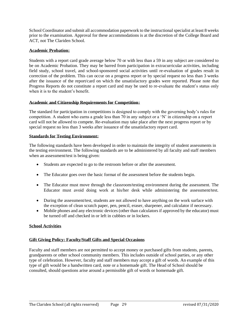School Coordinator and submit all accommodation paperwork to the instructional specialist at least 8 weeks prior to the examination. Approval for these accommodations is at the discretion of the College Board and ACT, not The Clariden School.

#### **Academic Probation:**

Students with a report card grade average below 70 or with less than a 59 in any subject are considered to be on Academic Probation. They may be barred from participation in extracurricular activities, including field study, school travel, and school-sponsored social activities until re-evaluation of grades result in correction of the problem. This can occur on a progress report or by special request no less than 3 weeks after the issuance of the report/card on which the unsatisfactory grades were reported. Please note that Progress Reports do not constitute a report card and may be used to re-evaluate the student's status only when it is to the student's benefit.

#### **Academic and Citizenship Requirements for Competition:**

The standard for participation in competitions is designed to comply with the governing body's rules for competition. A student who earns a grade less than 70 in any subject or a 'N' in citizenship on a report card will not be allowed to compete. Re-evaluation may take place after the next progress report or by special request no less than 3 weeks after issuance of the unsatisfactory report card.

#### **Standards for Testing Environment:**

The following standards have been developed in order to maintain the integrity of student assessments in the testing environment. The following standards are to be administered by all faculty and staff members when an assessment/test is being given:

- Students are expected to go to the restroom before or after the assessment.
- The Educator goes over the basic format of the assessment before the students begin.
- The Educator must move through the classroom/testing environment during the assessment. The Educator must avoid doing work at his/her desk while administering the assessment/test.
- During the assessment/test, students are not allowed to have anything on the work surface with the exception of clean scratch paper, pen, pencil, eraser, sharpener, and calculator if necessary.
- Mobile phones and any electronic devices (other than calculators if approved by the educator) must be turned off and checked in or left in cubbies or in lockers.

#### **School Activities**

#### **Gift Giving Policy: Faculty/Staff Gifts and Special Occasions**

Faculty and staff members are not permitted to accept money or purchased gifts from students, parents, grandparents or other school community members. This includes outside of school parties, or any other type of celebration. However, faculty and staff members may accept a gift of words. An example of this type of gift would be a handwritten card, note or a homemade gift. The Head of School should be consulted, should questions arise around a permissible gift of words or homemade gift.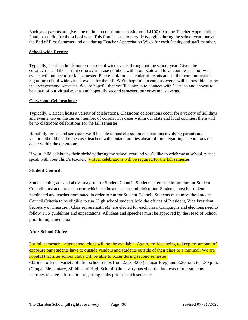Each year parents are given the option to contribute a maximum of \$100.00 to the Teacher Appreciation Fund, per child, for the school year. This fund is used to provide two gifts during the school year, one at the End of First Semester and one during Teacher Appreciation Week for each faculty and staff member.

#### **School-wide Events:**

Typically, Clariden holds numerous school-wide events throughout the school year. Given the coronavirus and the current coronavirus case numbers within our state and local counties, school-wide events will not occur for fall semester. Please look for a calendar of events and further communication regarding school-wide virtual events for the fall. We're hopeful, on campus events will be possible during the spring/second semester. We are hopeful that you'll continue to connect with Clariden and choose to be a part of our virtual events and hopefully second semester, our on-campus events.

#### **Classroom Celebrations:**

Typically, Clariden hosts a variety of celebrations. Classroom celebrations occur for a variety of holidays and events. Given the current number of coronavirus cases within our state and local counties, there will be no classroom celebrations for the fall semester.

Hopefully for second semester, we'll be able to host classroom celebrations involving parents and visitors. Should that be the case, teachers will contact families ahead of time regarding celebrations that occur within the classroom.

If your child celebrates their birthday during the school year and you'd like to celebrate at school, please speak with your child's teacher. Virtual celebrations will be required for the fall semester.

#### **Student Council:**

Students 4th grade and above may run for Student Council. Students interested in running for Student Council must acquire a sponsor, which can be a teacher or administrator. Students must be student nominated and teacher nominated in order to run for Student Council. Students must meet the Student Council Criteria to be eligible to run. High school students hold the offices of President, Vice President, Secretary & Treasurer. Class representative(s) are elected for each class. Campaigns and elections need to follow TCS guidelines and expectations. All ideas and speeches must be approved by the Head of School prior to implementation.

#### **After School Clubs:**

For fall semester – after school clubs will not be available. Again, the idea being to keep the amount of exposure our students have to outside vendors and students outside of their class to a minimal. We are hopeful that after school clubs will be able to occur during second semester.

Clariden offers a variety of after school clubs from 2:00- 3:00 (Cougar Prep) and 3:30 p.m. to 4:30 p.m. (Cougar Elementary, Middle and High School) Clubs vary based on the interests of our students. Families receive information regarding clubs prior to each semester.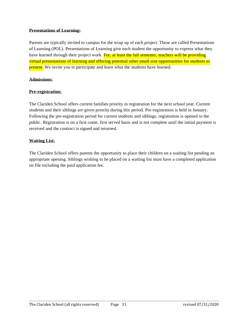#### **Presentations of Learning:**

Parents are typically invited to campus for the wrap up of each project. These are called Presentations of Learning (POL). Presentations of Learning give each student the opportunity to express what they have learned through their project work. For, at least the fall semester, teachers will be providing virtual presentations of learning and offering potential other small size opportunities for students to **present.** We invite you to participate and learn what the students have learned.

#### **Admissions:**

#### **Pre-registration:**

The Clariden School offers current families priority in registration for the next school year. Current students and their siblings are given priority during this period. Pre-registration is held in January. Following the pre-registration period for current students and siblings, registration is opened to the public. Registration is on a first come, first served basis and is not complete until the initial payment is received and the contract is signed and returned.

#### **Waiting List:**

The Clariden School offers parents the opportunity to place their children on a waiting list pending an appropriate opening. Siblings wishing to be placed on a waiting list must have a completed application on file including the paid application fee.